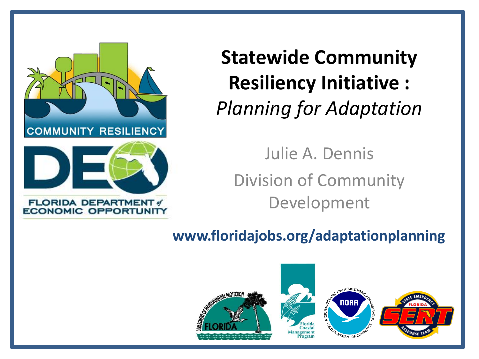

**Statewide Community Resiliency Initiative :** *Planning for Adaptation* 

Julie A. Dennis Division of Community Development

**www.floridajobs.org/adaptationplanning** 

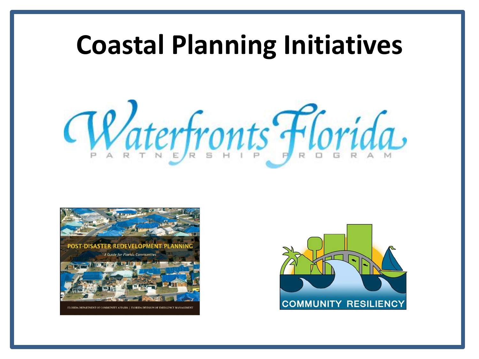### **Coastal Planning Initiatives**





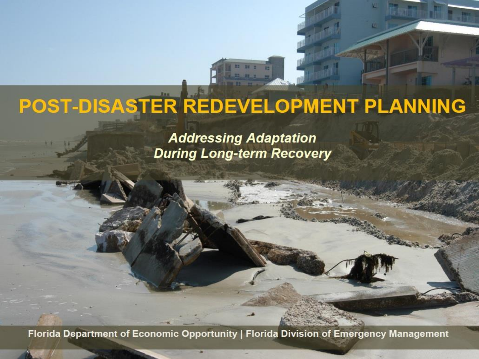# POST-DISASTER REDEVELOPMENT PLANNING

**Addressing Adaptation During Long-term Recovery** 

Florida Department of Economic Opportunity | Florida Division of Emergency Management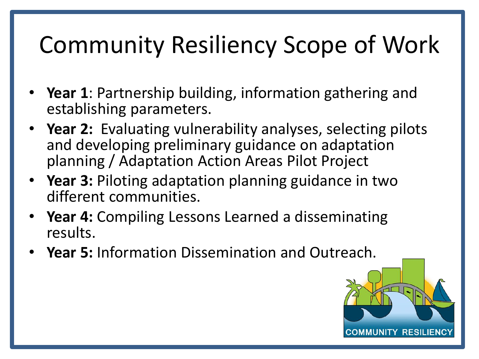## Community Resiliency Scope of Work

- **Year 1**: Partnership building, information gathering and establishing parameters.
- **Year 2:** Evaluating vulnerability analyses, selecting pilots and developing preliminary guidance on adaptation planning / Adaptation Action Areas Pilot Project
- **Year 3:** Piloting adaptation planning guidance in two different communities.
- **Year 4:** Compiling Lessons Learned a disseminating results.
- **Year 5:** Information Dissemination and Outreach.

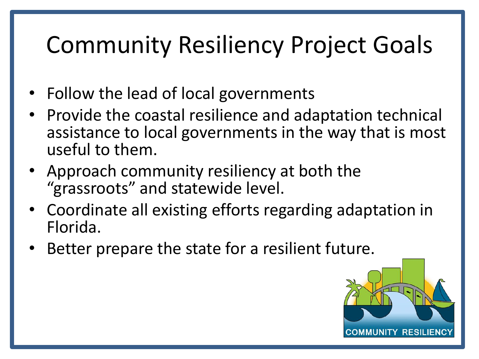### Community Resiliency Project Goals

- Follow the lead of local governments
- Provide the coastal resilience and adaptation technical assistance to local governments in the way that is most useful to them.
- Approach community resiliency at both the "grassroots" and statewide level.
- Coordinate all existing efforts regarding adaptation in Florida.
- Better prepare the state for a resilient future.

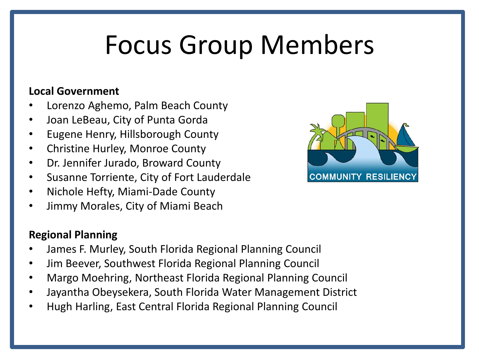# Focus Group Members

#### **Local Government**

- Lorenzo Aghemo, Palm Beach County
- Joan LeBeau, City of Punta Gorda
- Eugene Henry, Hillsborough County
- Christine Hurley, Monroe County
- Dr. Jennifer Jurado, Broward County
- Susanne Torriente, City of Fort Lauderdale
- Nichole Hefty, Miami-Dade County
- Jimmy Morales, City of Miami Beach

#### **Regional Planning**

- James F. Murley, South Florida Regional Planning Council
- Jim Beever, Southwest Florida Regional Planning Council
- Margo Moehring, Northeast Florida Regional Planning Council
- Jayantha Obeysekera, South Florida Water Management District
- Hugh Harling, East Central Florida Regional Planning Council

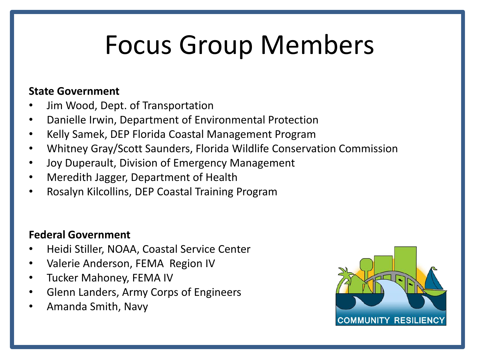# Focus Group Members

#### **State Government**

- Jim Wood, Dept. of Transportation
- Danielle Irwin, Department of Environmental Protection
- Kelly Samek, DEP Florida Coastal Management Program
- Whitney Gray/Scott Saunders, Florida Wildlife Conservation Commission
- Joy Duperault, Division of Emergency Management
- Meredith Jagger, Department of Health
- Rosalyn Kilcollins, DEP Coastal Training Program

#### **Federal Government**

- Heidi Stiller, NOAA, Coastal Service Center
- Valerie Anderson, FEMA Region IV
- Tucker Mahoney, FEMA IV
- Glenn Landers, Army Corps of Engineers
- Amanda Smith, Navy

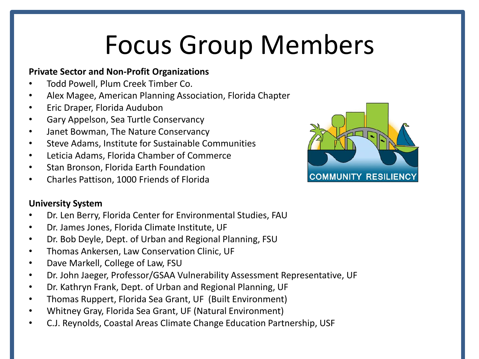# Focus Group Members

#### **Private Sector and Non-Profit Organizations**

- Todd Powell, Plum Creek Timber Co.
- Alex Magee, American Planning Association, Florida Chapter
- Eric Draper, Florida Audubon
- Gary Appelson, Sea Turtle Conservancy
- Janet Bowman, The Nature Conservancy
- Steve Adams, Institute for Sustainable Communities
- Leticia Adams, Florida Chamber of Commerce
- Stan Bronson, Florida Earth Foundation
- Charles Pattison, 1000 Friends of Florida

#### **University System**

- Dr. Len Berry, Florida Center for Environmental Studies, FAU
- Dr. James Jones, Florida Climate Institute, UF
- Dr. Bob Deyle, Dept. of Urban and Regional Planning, FSU
- Thomas Ankersen, Law Conservation Clinic, UF
- Dave Markell, College of Law, FSU
- Dr. John Jaeger, Professor/GSAA Vulnerability Assessment Representative, UF
- Dr. Kathryn Frank, Dept. of Urban and Regional Planning, UF
- Thomas Ruppert, Florida Sea Grant, UF (Built Environment)
- Whitney Gray, Florida Sea Grant, UF (Natural Environment)
- C.J. Reynolds, Coastal Areas Climate Change Education Partnership, USF

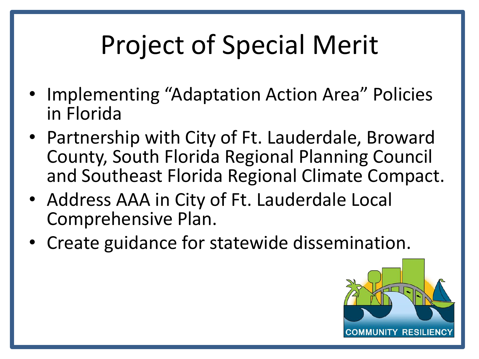# Project of Special Merit

- Implementing "Adaptation Action Area" Policies in Florida
- Partnership with City of Ft. Lauderdale, Broward County, South Florida Regional Planning Council and Southeast Florida Regional Climate Compact.
- Address AAA in City of Ft. Lauderdale Local Comprehensive Plan.
- Create guidance for statewide dissemination.

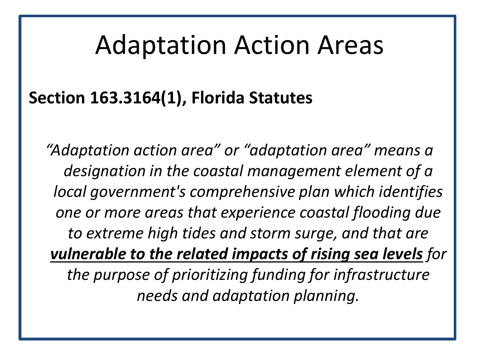### Adaptation Action Areas

### **Section 163.3164(1), Florida Statutes**

*"Adaptation action area" or "adaptation area" means a designation in the coastal management element of a local government's comprehensive plan which identifies one or more areas that experience coastal flooding due to extreme high tides and storm surge, and that are vulnerable to the related impacts of rising sea levels for the purpose of prioritizing funding for infrastructure needs and adaptation planning.*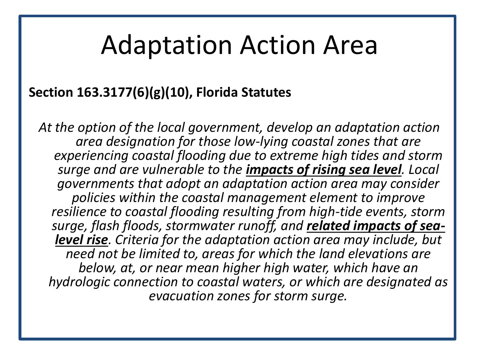### Adaptation Action Area

### **Section 163.3177(6)(g)(10), Florida Statutes**

*At the option of the local government, develop an adaptation action area designation for those low-lying coastal zones that are experiencing coastal flooding due to extreme high tides and storm surge and are vulnerable to the impacts of rising sea level. Local governments that adopt an adaptation action area may consider policies within the coastal management element to improve resilience to coastal flooding resulting from high-tide events, storm surge, flash floods, stormwater runoff, and related impacts of sealevel rise. Criteria for the adaptation action area may include, but need not be limited to, areas for which the land elevations are below, at, or near mean higher high water, which have an hydrologic connection to coastal waters, or which are designated as evacuation zones for storm surge.*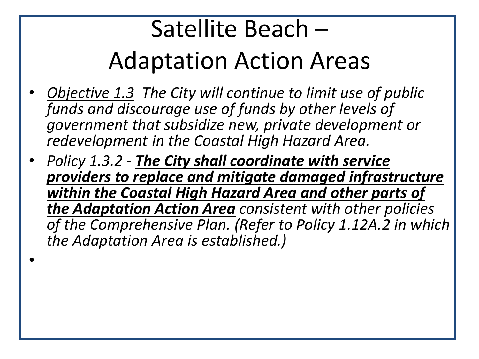## Satellite Beach – Adaptation Action Areas

- *Objective 1.3 The City will continue to limit use of public funds and discourage use of funds by other levels of government that subsidize new, private development or redevelopment in the Coastal High Hazard Area.*
- *Policy 1.3.2 - The City shall coordinate with service providers to replace and mitigate damaged infrastructure within the Coastal High Hazard Area and other parts of the Adaptation Action Area consistent with other policies of the Comprehensive Plan. (Refer to Policy 1.12A.2 in which the Adaptation Area is established.)*

•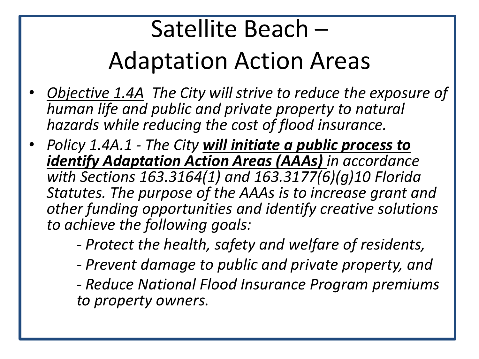## Satellite Beach – Adaptation Action Areas

- *Objective 1.4A The City will strive to reduce the exposure of human life and public and private property to natural hazards while reducing the cost of flood insurance.*
- *Policy 1.4A.1 - The City will initiate a public process to identify Adaptation Action Areas (AAAs) in accordance with Sections 163.3164(1) and 163.3177(6)(g)10 Florida Statutes. The purpose of the AAAs is to increase grant and other funding opportunities and identify creative solutions to achieve the following goals:*
	- *- Protect the health, safety and welfare of residents,*
	- *- Prevent damage to public and private property, and*
	- *- Reduce National Flood Insurance Program premiums to property owners.*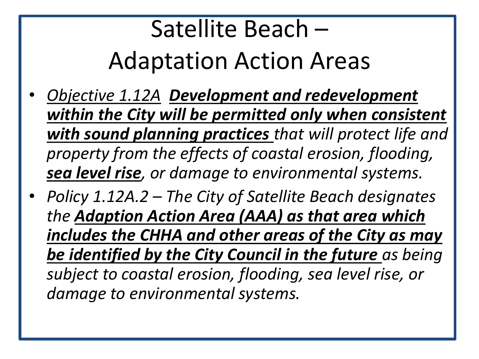## Satellite Beach – Adaptation Action Areas

- *Objective 1.12A Development and redevelopment within the City will be permitted only when consistent with sound planning practices that will protect life and property from the effects of coastal erosion, flooding, sea level rise, or damage to environmental systems.*
- *Policy 1.12A.2 – The City of Satellite Beach designates the Adaption Action Area (AAA) as that area which includes the CHHA and other areas of the City as may be identified by the City Council in the future as being subject to coastal erosion, flooding, sea level rise, or damage to environmental systems.*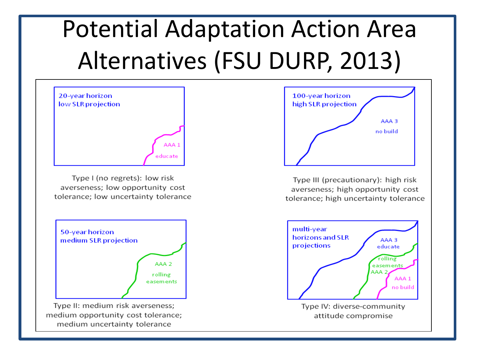# Potential Adaptation Action Area Alternatives (FSU DURP, 2013)



Type I (no regrets): low risk averseness; low opportunity cost tolerance; low uncertainty tolerance



100-year horizon high SLR projection AAA 3 no build

Type III (precautionary): high risk averseness; high opportunity cost tolerance; high uncertainty tolerance